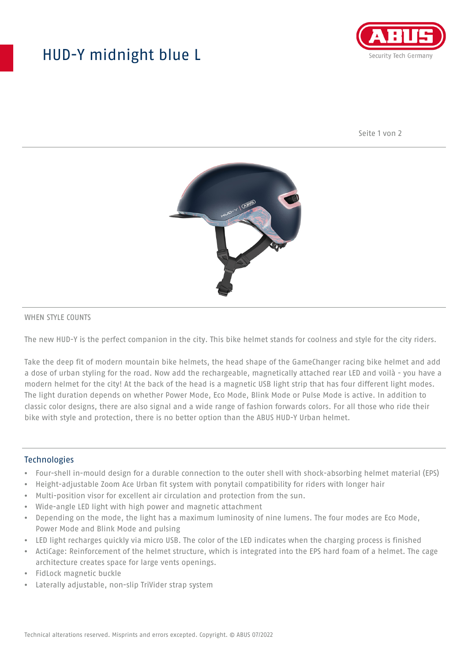## HUD-Y midnight blue L



Seite 1 von 2



#### WHEN STYLE COUNTS

The new HUD-Y is the perfect companion in the city. This bike helmet stands for coolness and style for the city riders.

Take the deep fit of modern mountain bike helmets, the head shape of the GameChanger racing bike helmet and add a dose of urban styling for the road. Now add the rechargeable, magnetically attached rear LED and voilà - you have a modern helmet for the city! At the back of the head is a magnetic USB light strip that has four different light modes. The light duration depends on whether Power Mode, Eco Mode, Blink Mode or Pulse Mode is active. In addition to classic color designs, there are also signal and a wide range of fashion forwards colors. For all those who ride their bike with style and protection, there is no better option than the ABUS HUD-Y Urban helmet.

#### **Technologies**

- Four-shell in-mould design for a durable connection to the outer shell with shock-absorbing helmet material (EPS)
- Height-adjustable Zoom Ace Urban fit system with ponytail compatibility for riders with longer hair
- Multi-position visor for excellent air circulation and protection from the sun.
- Wide-angle LED light with high power and magnetic attachment
- Depending on the mode, the light has a maximum luminosity of nine lumens. The four modes are Eco Mode, Power Mode and Blink Mode and pulsing
- LED light recharges quickly via micro USB. The color of the LED indicates when the charging process is finished
- ActiCage: Reinforcement of the helmet structure, which is integrated into the EPS hard foam of a helmet. The cage architecture creates space for large vents openings.
- FidLock magnetic buckle
- Laterally adjustable, non-slip TriVider strap system